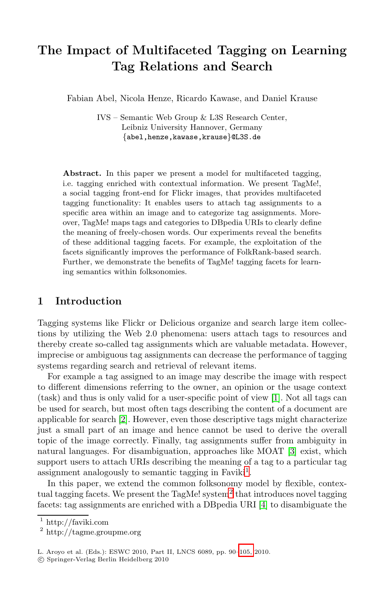# **The Impact of Multifaceted Tagging on Learning Tag Relations and Search**

Fabian Abel, Nicola Henze, Ricardo Kawase, and Daniel Krause

IVS – Semantic Web Group & L3S Research Center, Leibniz University Hannover, Germany *{*abel,henze,kawase,krause*}*@L3S.de

**Abstract.** In this paper we present a model for multifaceted tagging, i.e. tagging enriched with contextual information. We present TagMe!, a social tagging front-end for Flickr images, that provides multifaceted tagging functionality: It enables users to attach tag assignments to a specific area within an image and to categorize tag assignments. Moreover, TagMe! maps tags and categories to DBpedia URIs to clearly define the meaning of freely-chosen words. Our experiments reveal the benefits of these additional tagging facets. For example, the exploitation of the facets significantly improves the performance of FolkRank-based search. Further, we demonstrate the benefits of TagMe! tagging facets for learning semantics within folksonomies.

# **1 Introduction**

Tagging systems like Flickr or Delicious [or](#page-14-0)ganize and search large item collecti[on](#page-14-1)s by utilizing the Web 2.0 phenomena: users attach tags to resources and thereby create so-called tag assignments which are valuable metadata. However, imprecise or ambiguous tag assignments can decrease the performance of tagging systems regarding search and retrieval of rele[va](#page-14-2)nt items.

For example a tag assigned to an image may describe the image with respect to different dimensions referring t[o](#page-0-0) the owner, an opinion or the usage context (task) and thus is only valid for a user-specific point of view [1]. Not all tags can be used for search, but most o[fte](#page-0-1)n tags describing the content of a document are applicable for search [2]. However, eve[n t](#page-14-3)hose descriptive tags might characterize just a small part of an image and hence cannot be used to derive the overall topic of the image correctly. Finally, tag assignments suffer from ambiguity in natural languages. For disambiguation, approaches like MOAT [3] exist, which support users to attach URIs describing the meaning of a tag to a particular tag assignment analogously to sema[ntic](#page-15-0) tagging in Faviki<sup>1</sup>.

<span id="page-0-1"></span><span id="page-0-0"></span>In this paper, we extend the common folksonomy model by flexible, contextual tagging facets. We present the  $TagMe!$  system<sup>2</sup> that introduces novel tagging facets: tag assignments are enriched with a DBpedia URI [4] to disambiguate the

http://faviki.com

<sup>2</sup> http://tagme.groupme.org

L. Aroyo et al. (Eds.): ESWC 2010, Part II, LNCS 6089, pp. 90–105, 2010.

<sup>-</sup>c Springer-Verlag Berlin Heidelberg 2010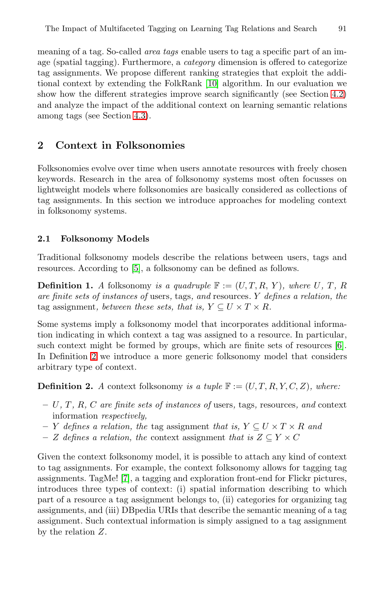meaning of a tag. So-called *area tags* enable users to tag a specific part of an image (spatial tagging). Furthermore, a *category* dimension is offered to categorize tag assignments. We propose different ranking strategies that exploit the additional context by extending the FolkRank [10] algorithm. In our evaluation we show how the different strategies improve search significantly (see Section 4.2) and analyze the impact of the additional context on learning semantic relations among tags (see Section 4.3).

# **2 Context in Folksonomies**

<span id="page-1-0"></span>Folksonomies evolve over time when users annotate resources with freely chosen keywords. Research in the area of folksonomy systems most often focusses on light[wei](#page-14-4)ght models where folksonomies are basically considered as collections of tag assignments. In this section we introduce approaches for modeling context in folksonomy systems.

### **2.1 Folksonomy Models**

Traditional folksonomy models describe the relations between users, tags and resources. According to [5], a folksonomy can be defined [as](#page-14-5) follows.

<span id="page-1-1"></span>**Definition 1.** *A* folksonomy *is a quadruple*  $\mathbb{F} := (U, T, R, Y)$ *, where* U, T, R *are finite sets of instances of* users*,* tags*, and* resources*.* Y *defines a relation, the* tag assignment*, between these sets, that is,*  $Y \subseteq U \times T \times R$ *.* 

Some systems imply a folksonomy model that incorporates additional information indicating in which context a tag was assigned to a resource. In particular, such context might be formed by groups, which are finite sets of resources [6]. In Definition 2 we introduce a more generic folksonomy model that considers arbitrary type of context.

**Definition 2.** *A* context folksonomy *is a tuple*  $\mathbb{F} := (U, T, R, Y, C, Z)$ *, where:* 

- **–** [U](#page-14-6)*,* T *,* R*,* C *are finite sets of instances of* users*,* tags*,* resources*, and* context information *respectively,*
- **–** Y *defines a relation, the* tag assignment *that is,* Y ⊆ U × T × R *and*
- **–** Z *defines a relation, the* context assignment *that is* Z ⊆ Y × C

Given the context folksonomy model, it is possible to attach any kind of context to tag assignments. For example, the context folksonomy allows for tagging tag assignments. TagMe! [7], a tagging and exploration front-end for Flickr pictures, introduces three types of context: (i) spatial information describing to which part of a resource a tag assignment belongs to, (ii) categories for organizing tag assignments, and (iii) DBpedia URIs that describe the semantic meaning of a tag assignment. Such contextual information is simply assigned to a tag assignment by the relation Z.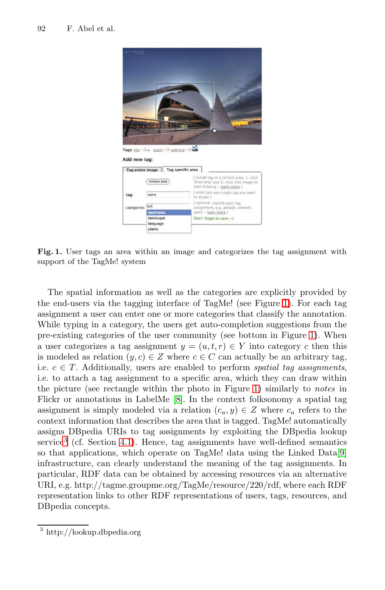

**Fig. 1.** User tags an area within an image and categ[ori](#page-2-0)zes the tag assignment with support of the TagMe! system

<span id="page-2-0"></span>The spatial information as well as the categories are explicitly provided by the end-users via the tagging interf[ace](#page-2-0) of TagMe! (see Figure 1). For each tag assignment a us[er](#page-14-7) can enter one or more categories that classify the annotation. While typing in a category, the users get auto-completion suggestions from the pre-existing categories of the user community (see bottom in Figure 1). When a user categorizes a tag assignment  $y = (u, t, r) \in Y$  into category c then this is [mo](#page-7-0)deled as relation  $(y, c) \in Z$  where  $c \in C$  can actually be an arbitrary tag. i.e.  $c \in T$ . Additionally, users are enabled to perform *sp[ati](#page-15-1)al tag assignments*, i.e. to attach a tag assignment to a specific area, which they can draw within the picture (see rectangle within the photo in Figure 1) similarly to *notes* in Flickr or annotations in LabelMe [8]. In the context folksonomy a spatial tag assignment is simply modeled via a relation  $(c_a, y) \in Z$  where  $c_a$  refers to the context information that describes the area that is tagged. TagMe! automatically assigns DBpedia URIs to tag assignments by exploiting the DBpedia lookup service<sup>3</sup> (cf. Section 4.1). Hence, tag assignments have well-defined semantics so that applications, which operate on TagMe! data using the Linked Data[9] infrastructure, can clearly understand the meaning of the tag assignments. In particular, RDF data can be obtained by accessing resources via an alternative URI, e.g. http://tagme.groupme.org/TagMe/resource/220/rdf, where each RDF representation links to other RDF representations of users, tags, resources, and DBpedia concepts.

<sup>3</sup> http://lookup.dbpedia.org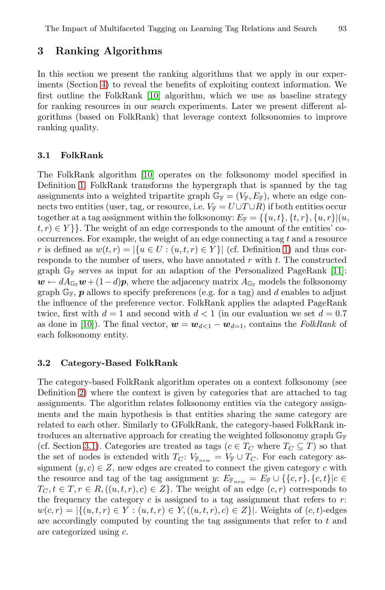# <span id="page-3-1"></span><span id="page-3-0"></span>**3 Ranking Algorithms**

In this section we present the ranking algorithms that we apply in our experiments (Section 4) to reveal the benefits of exploiting context information. We first ou[tlin](#page-15-2)e the FolkRank [10] algorithm, which we use as baseline strategy for ranking resources in our search experiments. Later we present different algorithms (based on FolkRank) that leverage context folksonomies to improve ranking quality.

#### **3.1 FolkRank**

The FolkRank algorithm [10] operates on [th](#page-1-0)e folksonomy model specified in Definition 1. FolkRank transforms the hypergraph that [is](#page-15-3) spanned by the tag assignments into a weighted tripartite graph  $\mathbb{G}_{\mathbb{F}} = (V_{\mathbb{F}}, E_{\mathbb{F}})$ , where an edge connects two entities (user, tag, or resource, i.e.  $V_{\mathbb{F}} = U \cup T \cup R$ ) if both entities occur together at a tag assignment within the folksonomy:  $E_{\mathbb{F}} = \{ \{u, t\}, \{t, r\}, \{u, r\} | (u, t, r), \{v, r\} |$  $t, r \in Y$  }. The weight of an edge corresponds to the amount of the entities' cooccurrences. For example, the weight of an edge connecting a tag t and a resource r is defined as  $w(t, r) = |\{u \in U : (u, t, r) \in Y\}|$  (cf. Definition 1) and thus corresponds to the number of users, who have annotated  $r$  with  $t$ . The constructed graph  $\mathbb{G}_{\mathbb{F}}$  serves as input for an adaption of the Personalized PageRank [11]:  $\mathbf{w} \leftarrow dA_{\mathbb{G}_{\mathbb{F}}} \mathbf{w} + (1-d)\mathbf{p}$ , where the adjacency matrix  $A_{\mathbb{G}_{\mathbb{F}}}$  models the folksonomy graph  $\mathbb{G}_F$ ,  $p$  allows to specify preferences (e.g. for a tag) and d enables to adjust the influence of the preference vector. FolkRank applies the adapted PageRank twice, first with  $d = 1$  and second with  $d < 1$  (in our evaluation we set  $d = 0.7$ ) as done in [10]). The final vector,  $\mathbf{w} = \mathbf{w}_{d \leq 1} - \mathbf{w}_{d=1}$ , contains the *FolkRank* of each folksonomy entity.

## <span id="page-3-2"></span>**3.2 Category-Based FolkRank**

The category-based FolkRank algorithm operates on a context folksonomy (see Definition 2) where the context is given by categories that are attached to tag assignments. The algorithm relates folksonomy entities via the category assignments and the main hypothesis is that entities sharing the same category are related to each other. Similarly to GFolkRank, the category-based FolkRank introduces an alternative approach for creating the weighted folksonomy graph  $\mathbb{G}_{\mathbb{F}}$ (cf. Section 3.1). Categories are treated as tags ( $c \in T_C$  where  $T_C \subseteq T$ ) so that the set of nodes is extended with  $T_C$ :  $V_{\mathbb{F}_{new}} = V_{\mathbb{F}} \cup T_C$ . For each category assignment  $(y, c) \in Z$ , new edges are created to connect the given category c with the resource and tag of the tag assignment y:  $E_{\mathbb{F}_{new}} = E_{\mathbb{F}} \cup \{\{c, r\}, \{c, t\}|c \in$  $T_C, t \in T, r \in R, ((u, t, r), c) \in Z$ . The weight of an edge  $(c, r)$  corresponds to the frequency the category  $c$  is assigned to a tag assignment that refers to  $r$ :  $w(c, r) = |\{(u, t, r) \in Y : (u, t, r) \in Y, ((u, t, r), c) \in Z\}|.$  Weights of  $(c, t)$ -edges are accordingly computed by counting the tag assignments that refer to t and are categorized using c.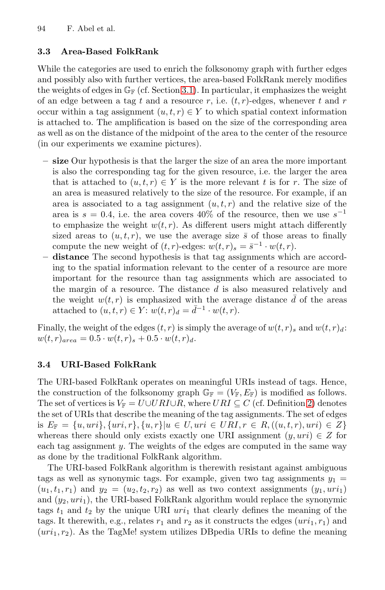### **3.3 Area-Based FolkRank**

While the categories are used to enrich the folksonomy graph with further edges and possibly also with further vertices, the area-based FolkRank merely modifies the weights of edges in  $\mathbb{G}_{\mathbb{F}}$  (cf. Section 3.1). In particular, it emphasizes the weight of an edge between a tag t and a resource r, i.e.  $(t, r)$ -edges, whenever t and r occur within a tag assignment  $(u, t, r) \in Y$  to which spatial context information is attached to. The amplification is based on the size of the corresponding area as well as on the distance of the midpoint of the area to the center of the resource (in our experiments we examine pictures).

- **size** Our hypothesis is that the larger the size of an area the more important is also the corresponding tag for the given resource, i.e. the larger the area that is attached to  $(u, t, r) \in Y$  is the more relevant t is for r. The size of an area is measured relatively to the size of the resource. For example, if an area is associated to a tag assignment  $(u, t, r)$  and the relative size of the area is  $s = 0.4$ , i.e. the area covers 40% of the resource, then we use  $s^{-1}$ to emphasize the weight  $w(t, r)$ . As different users might attach differently sized areas to  $(u, t, r)$ , we use the average size  $\bar{s}$  of those areas to finally compute the new weight of  $(t, r)$ -edges:  $w(t, r) = \bar{s}^{-1} \cdot w(t, r)$ .
- **distance** The second hypothesis is that tag assignments which are according to the spatial information relevant to the center of a resource are more important for the resource than tag assignments which are associated to the margin of a resource. The distance  $d$  is also measured relatively and the weight  $w(t,r)$  is emphasized with the average distance  $\bar{d}$  of the areas attached to  $(u, t, r) \in Y$ :  $w(t, r)$ <sub>d</sub> =  $\overline{d}^{-1} \cdot w(t, r)$ .

Finally, the weight of the edges  $(t, r)$  is simply the a[ve](#page-1-1)rage of  $w(t, r)$ <sub>s</sub> and  $w(t, r)$ <sub>d</sub>:  $w(t, r)_{area} = 0.5 \cdot w(t, r)_{s} + 0.5 \cdot w(t, r)_{d}.$ 

# **3.4 URI-Based FolkRank**

The URI-based FolkRank operates on meaningful URIs instead of tags. Hence, the construction of the folksonomy graph  $\mathbb{G}_{\mathbb{F}} = (V_{\mathbb{F}}, E_{\mathbb{F}})$  is modified as follows. The set of vertices is  $V_{\mathbb{F}} = U \cup URI \cup R$ , where  $URI \subseteq C$  (cf. Definition 2) denotes the set of URIs that describe the meaning of the tag assignments. The set of edges is  $E_{\mathbb{F}} = \{u, uri\}, \{uri, r\}, \{u, r\} | u \in U, uri \in URL, r \in R, ((u, t, r), uri) \in \mathbb{Z}\}\$ whereas there should only exists exactly one URI assignment  $(y, uri) \in Z$  for each tag assignment y. The weights of the edges are computed in the same way as done by the traditional FolkRank algorithm.

The URI-based FolkRank algorithm is therewith resistant against ambiguous tags as well as synonymic tags. For example, given two tag assignments  $y_1 =$  $(u_1, t_1, r_1)$  and  $y_2 = (u_2, t_2, r_2)$  as well as two context assignments  $(y_1, uri_1)$ and  $(y_2, uri_1)$ , the URI-based FolkRank algorithm would replace the synonymic tags  $t_1$  and  $t_2$  by the unique URI  $uri_1$  that clearly defines the meaning of the tags. It therewith, e.g., relates  $r_1$  and  $r_2$  as it constructs the edges  $(uri_1, r_1)$  and  $(uri_1, r_2)$ . As the TagMe! system utilizes DB pedia URIs to define the meaning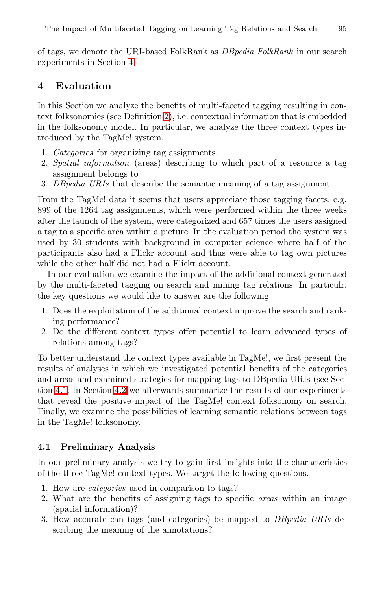of tags, we denote the URI-based FolkRank as *DBpedia FolkRank* in our search experiments in Section 4.

# **4 Evaluation**

In this Section we analyze the benefits of multi-faceted tagging resulting in context folksonomies (see Definition 2), i.e. contextual information that is embedded in the folksonomy model. In particular, we analyze the three context types introduced by the TagMe! system.

- 1. *Categories* for organizing tag assignments.
- 2. *Spatial information* (areas) describing to which part of a resource a tag assignment belongs to
- 3. *DBpedia URIs* that describe the semantic meaning of a tag assignment.

From the TagMe! data it seems that users appreciate those tagging facets, e.g. 899 of the 1264 tag assignments, which were performed within the three weeks after the launch of the system, were categorized and 657 times the users assigned a tag to a specific area within a picture. In the evaluation period the system was used by 30 students with background in computer science where half of the participants also had a Flickr account and thus were able to tag own pictures while the other half did not had a Flickr account.

In our evaluation we examine the impact of the additional context generated by the multi-faceted tagging on search and mining tag relations. In particulr, the key questions we would like to answer are the following.

- [1.](#page-8-0) [D](#page-8-0)oes the exploitation of the additional context improve the search and ranking performance?
- 2. Do the different context types offer potential to learn advanced types of relations among tags?

To better understand the context types available in TagMe!, we first present the results of analyses in which we investigated potential benefits of the categories and areas and examined strategies for mapping tags to DBpedia URIs (see Section 4.1. In Section 4.2 we afterwards summarize the results of our experiments that reveal the positive impact of the TagMe! context folksonomy on search. Finally, we examine the possibilities of learning semantic relations between tags in the TagMe! folksonomy.

#### **4.1 Preliminary Analysis**

In our preliminary analysis we try to gain first insights into the characteristics of the three TagMe! context types. We target the following questions.

- 1. How are *categories* used in comparison to tags?
- 2. What are the benefits of assigning tags to specific *areas* within an image (spatial information)?
- 3. How accurate can tags (and categories) be mapped to *DBpedia URIs* describing the meaning of the annotations?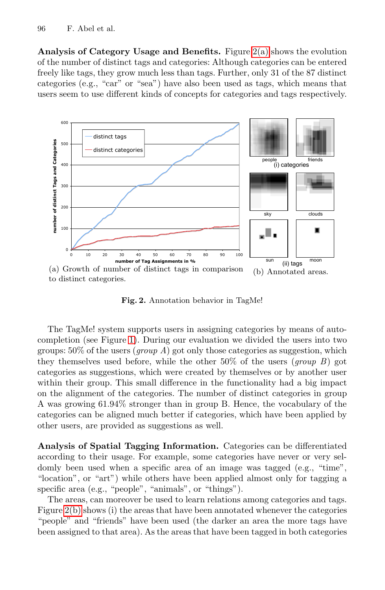<span id="page-6-1"></span><span id="page-6-0"></span>**Analysis of Category Usage and Benefits.** Figure 2(a) shows the evolution of the number of distinct tags and categories: Although categories can be entered freely like tags, they grow much less than tags. Further, only 31 of the 87 distinct categories (e.g., "car" or "sea") have also been used as tags, which means that users seem to use different kinds of concepts for categories and tags respectively.



**Fig. 2.** Annotation behavior in TagMe!

The TagMe! system supports users in assigning categories by means of autocompletion (see Figure 1). During our evaluation we divided the users into two groups: 50% of the users (*group A*) got only those categories as suggestion, which they themselves used before, while the other 50% of the users (*group B*) got categories as suggestions, which were created by themselves or by another user within their group. This small difference in the functionality had a big impact on the alignment of the categories. The number of distinct categories in group A was growing 61.94% stronger than in group B. Hence, the vocabulary of the categories can be aligned much better if categories, which have been applied by other users, are provided as suggestions as well.

**Analysis of Spatial Tagging Information.** Categories can be differentiated according to their usage. For example, some categories have never or very seldomly been used when a specific area of an image was tagged (e.g., "time", "location", or "art") while others have been applied almost only for tagging a specific area (e.g., "people", "animals", or "things").

The areas, can moreover be used to learn relations among categories and tags. Figure 2(b) shows (i) the areas that have been annotated whenever the categories "people" and "friends" have been used (the darker an area the more tags have been assigned to that area). As the areas that have been tagged in both categories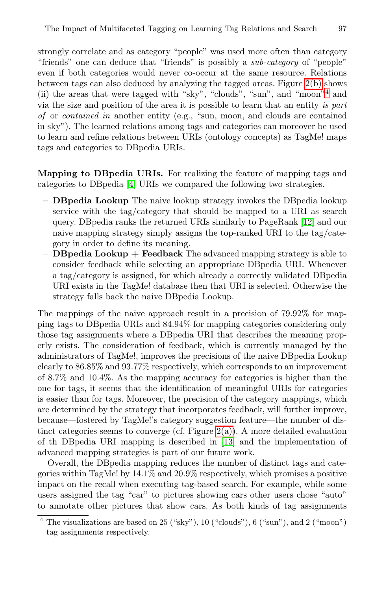<span id="page-7-0"></span>strongly correlate and as category "people" was used more often than category "friends" one can deduce that "friends" is possibly a *sub-category* of "people" even if both categories would never co-occur at the same resource. Relations between tags can also deduced by analyzing the tagged areas. Figure 2(b) shows (ii) the areas that were tagged with "sky", "clouds", "sun", and "moon"<sup>4</sup> and via [th](#page-14-3)e size and position of the area it is possible to learn that an entity *is part of* or *contained in* another entity (e.g., "sun, moon, and clouds are contained in sky"). The learned relations among tags and categories can moreover be used to learn and refine relations between URIs (ontol[ogy](#page-15-4) concepts) as TagMe! maps tags and categories to DBpedia URIs.

**Mapping to DBpedia URIs.** For realizing the feature of mapping tags and categories to DBpedia [4] URIs we compared the following two strategies.

- **DBpedia Lookup** The naive lookup strategy invokes the DBpedia lookup service with the tag/category that should be mapped to a URI as search query. DBpedia ranks the returned URIs similarly to PageRank [12] and our naive mapping strategy simply assigns the top-ranked URI to the tag/category in order to define its meaning.
- **DBpedia Lookup + Feedback** The advanced mapping strategy is able to consider feedback while selecting an appropriate DBpedia URI. Whenever a tag/category is assigned, for which already a correctly validated DBpedia URI exists in the TagMe! database then that URI is selected. Otherwise the strategy falls back the naive DBpedia Lookup.

The mappings of the naive approach result in a precision of 79.92% for mapping tags to DBpedia URIs and 84.94% for mapping categories considering only those tag assignments where a DBpedia URI that describes the meaning properly exists. The considera[tion o](#page-6-0)f feedback, which is currently managed by the administrators of TagMe!, i[mpro](#page-15-5)ves the precisions of the naive DBpedia Lookup clearly to 86.85% and 93.77% respectively, which corresponds to an improvement of 8.7% and 10.4%. As the mapping accuracy for categories is higher than the one for tags, it seems that the identification of meaningful URIs for categories is easier than for tags. Moreover, the precision of the category mappings, which are determined by the strategy that incorporates feedback, will further improve, because—fostered by TagMe!'s category suggestion feature—the number of distinct categories seems to converge (cf. Figure  $2(a)$ ). A more detailed evaluation of th DBpedia URI mapping is described in [13] and the implementation of advanced mapping strategies is part of our future work.

Overall, the DBpedia mapping reduces the number of distinct tags and categories within TagMe! by 14.1% and 20.9% respectively, which promises a positive impact on the recall when executing tag-based search. For example, while some users assigned the tag "car" to pictures showing cars other users chose "auto" to annotate other pictures that show cars. As both kinds of tag assignments

The visualizations are based on  $25$  ("sky"),  $10$  ("clouds"),  $6$  ("sun"), and  $2$  ("moon") tag assignments respectively.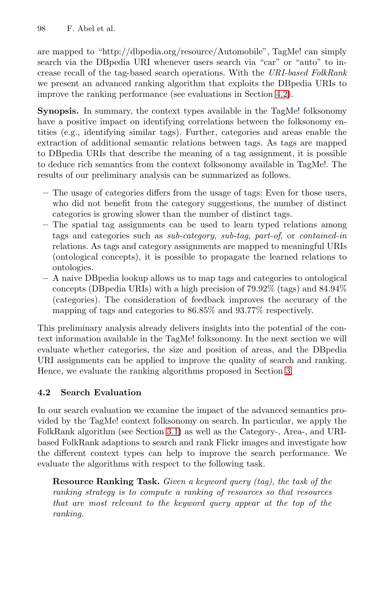are mapped to "http://dbpedia.org/resource/Automobile", TagMe! can simply search via the DBpedia URI whenever users search via "car" or "auto" to increase recall of the tag-based search operations. With the *URI-based FolkRank* we present an advanced ranking algorithm that exploits the DBpedia URIs to improve the ranking performance (see evaluations in Section 4.2).

**Synopsis.** In summary, the context types available in the TagMe! folksonomy have a positive impact on identifying correlations between the folksonomy entities (e.g., identifying similar tags). Further, categories and areas enable the extraction of additional semantic relations between tags. As tags are mapped to DBpedia URIs that describe the meaning of a tag assignment, it is possible to deduce rich semantics from the context folksonomy available in TagMe!. The results of our preliminary analysis can be summarized as follows.

- **–** The usage of categories differs from the usage of tags: Even for those users, who did not benefit from the category suggestions, the number of distinct categories is growing slower than the number of distinct tags.
- **–** The spatial tag assignments can be used to learn typed relations among tags and categories such as *sub-category*, *sub-tag*, *part-of*, or *contained-in* relations. As tags and category assignments are mapped to meaningful URIs (ontological concepts), it is possible to propagate the learned relations to ontologies.
- **–** A naive DBpedia lookup allows us to map tags and categories to ontological concepts (DBpedia URIs) with a high pr[eci](#page-3-0)sion of 79.92% (tags) and 84.94% (categories). The consideration of feedback improves the accuracy of the mapping of tags and categories to 86.85% and 93.77% respectively.

<span id="page-8-0"></span>This preliminary analysis already delivers insights into the potential of the context information available in the TagMe! folksonomy. In the next section we will evaluate whet[her](#page-3-1) categories, the size and position of areas, and the DBpedia URI assignments can be applied to improve the quality of search and ranking. Hence, we evaluate the ranking algorithms proposed in Section 3.

# **4.2 Search Evaluation**

In our search evaluation we examine the impact of the advanced semantics provided by the TagMe! context folksonomy on search. In particular, we apply the FolkRank algorithm (see Section 3.1) as well as the Category-, Area-, and URIbased FolkRank adaptions to search and rank Flickr images and investigate how the different context types can help to improve the search performance. We evaluate the algorithms with respect to the following task.

**Resource Ranking Task.** *Given a keyword query (tag), the task of the ranking strategy is to compute a ranking of resources so that resources that are most relevant to the keyword query appear at the top of the ranking.*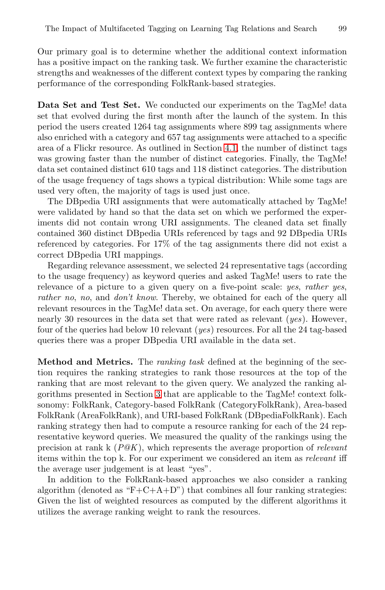<span id="page-9-0"></span>Our primary goal is to determine whether the additional context information has a positive impact on the [rank](#page-6-1)ing task. We further examine the characteristic strengths and weaknesses of the different context types by comparing the ranking performance of the corresponding FolkRank-based strategies.

**Data Set and Test Set.** We conducted our experiments on the TagMe! data set that evolved during the first month after the launch of the system. In this period the users created 1264 tag assignments where 899 tag assignments where also enriched with a category and 657 tag assignments were attached to a specific area of a Flickr resource. As outlined in Section 4.1, the number of distinct tags was growing faster than the number of distinct categories. Finally, the TagMe! data set contained distinct 610 tags and 118 distinct categories. The distribution of the usage frequency of tags shows a typical distribution: While some tags are used very often, the majority of tags is used just once.

The DBpedia URI assignments that were automatically attached by TagMe! were validated by hand so that the data set on which we performed the experiments did not contain wrong URI assignments. The cleaned data set finally contained 360 distinct DBpedia URIs referenced by tags and 92 DBpedia URIs referenced by categories. For 17% of the tag assignments there did not exist a correct DBpedia URI mappings.

Regarding relevance assessment, we selected 24 representative tags (according to the usage frequency) as keyword queries and asked TagMe! users to rate the relevance of a picture to a given query on a five-point scale: *yes*, *rather yes*, *rather no*, *no*, and *don't know*. Thereby, we obtained for each of the query all relevant re[sou](#page-3-0)rces in the TagMe! data set. On average, for each query there were nearly 30 resources in the data set that were rated as relevant (*yes*). However, four of the queries had below 10 relevant (*yes*) resources. For all the 24 tag-based queries there was a proper DBpedia URI available in the data set.

**Method and Metrics.** The *ranking task* defined at the beginning of the section requires the ranking strategies to rank those resources at the top of the ranking that are most relevant to the given query. We analyzed the ranking algorithms presented in Section 3 that are applicable to the TagMe! context folksonomy: FolkRank, Category-based FolkRank (CategoryFolkRank), Area-based FolkRank (AreaFolkRank), and URI-based FolkRank (DBpediaFolkRank). Each ranking strategy then had to compute a resource ranking for each of the 24 representative keyword queries. We measured the quality of the rankings using the precision at rank k (*P@K*), which represents the average proportion of *relevant* items within the top k. For our experiment we considered an item as *relevant* iff the average user judgement is at least "yes".

In addition to the FolkRank-based approaches we also consider a ranking algorithm (denoted as " $F + C + A + D$ ") that combines all four ranking strategies: Given the list of weighted resources as computed by the different algorithms it utilizes the average ranking weight to rank the resources.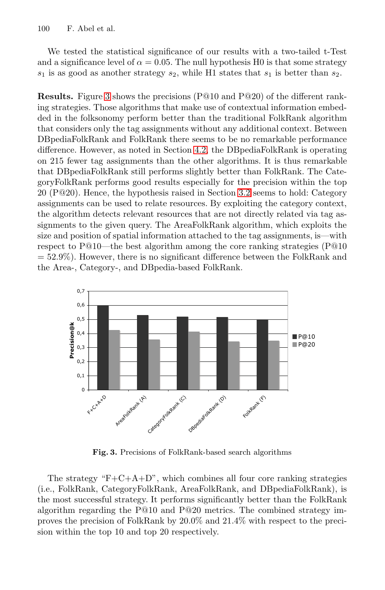We tested the statistical significance of our results with a two-tailed t-Test and a significance lev[el of](#page-9-0)  $\alpha = 0.05$ . The null hypothesis H0 is that some strategy  $s_1$  is as good as another strategy  $s_2$ , while H1 states that  $s_1$  is better than  $s_2$ .

**Results.** Figure 3 shows the precisions (P@10 and P@20) of the different ranking strategies. Those algorithms [that](#page-3-2) make use of contextual information embedded in the folksonomy perform better than the traditional FolkRank algorithm that considers only the tag assignments without any additional context. Between DBpediaFolkRank and FolkRank there seems to be no remarkable performance difference. However, as noted in Section 4.2, the DBpediaFolkRank is operating on 215 fewer tag assignments than the other algorithms. It is thus remarkable that DBpediaFolkRank still performs slightly better than FolkRank. The CategoryFolkRank performs good results especially for the precision within the top 20 (P@20). Hence, the hypothesis raised in Section 3.2 seems to hold: Category assignments can be used to relate resources. By exploiting the category context, the algorithm detects relevant resources that are not directly related via tag assignments to the given query. The AreaFolkRank algorithm, which exploits the size and position of spatial information attached to the tag assignments, is—with respect to P@10—the best algorithm among the core ranking strategies (P@10  $= 52.9\%$ ). However, there is no significant difference between the FolkRank and the Area-, Category-, and DBpedia-based FolkRank.



**Fig. 3.** Precisions of FolkRank-based search algorithms

The strategy " $F + C + A + D$ ", which combines all four core ranking strategies (i.e., FolkRank, CategoryFolkRank, AreaFolkRank, and DBpediaFolkRank), is the most successful strategy. It performs significantly better than the FolkRank algorithm regarding the P@10 and P@20 metrics. The combined strategy improves the precision of FolkRank by 20.0% and 21.4% with respect to the precision within the top 10 and top 20 respectively.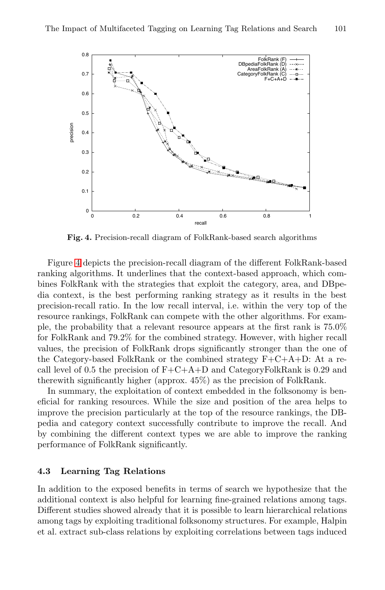

**Fig. 4.** Precision-recall diagram of FolkRank-based search algorithms

Figure 4 depicts the precision-recall diagram of the different FolkRank-based ranking algorithms. It underlines that the context-based approach, which combines FolkRank with the strategies that exploit the category, area, and DBpedia context, is the best performing ranking strategy as it results in the best precision-recall ratio. In the low recall interval, i.e. within the very top of the resource rankings, FolkRank can compete with the other algorithms. For example, the probability that a relevant resource appears at the first rank is 75.0% for FolkRank and 79.2% for the combined strategy. However, with higher recall values, the precision of FolkRank drops significantly stronger than the one of the Category-based FolkRank or the combined strategy  $F+C+A+D$ : At a recall level of 0.5 the precision of  $F+C+A+D$  and CategoryFolkRank is 0.29 and therewith significantly higher (approx. 45%) as the precision of FolkRank.

<span id="page-11-0"></span>In summary, the exploitation of context embedded in the folksonomy is beneficial for ranking resources. While the size and position of the area helps to improve the precision particularly at the top of the resource rankings, the DBpedia and category context successfully contribute to improve the recall. And by combining the different context types we are able to improve the ranking performance of FolkRank significantly.

### **4.3 Learning Tag Relations**

In addition to the exposed benefits in terms of search we hypothesize that the additional context is also helpful for learning fine-grained relations among tags. Different studies showed already that it is possible to learn hierarchical relations among tags by exploiting traditional folksonomy structures. For example, Halpin et al. extract sub-class relations by exploiting correlations between tags induced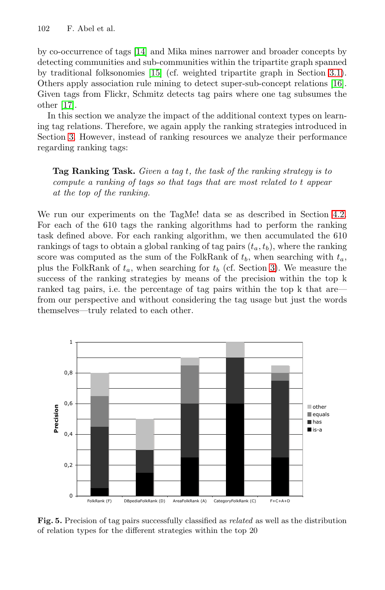by co-occurrence of tags [14] and Mika mines narrower and broader concepts by detecting communities and sub-communities within the tripartite graph spanned by traditional folksonomies [15] (cf. weighted tripartite graph in Section 3.1). Others apply association rule mining to detect super-sub-concept relations [16]. Given tags from Flickr, Schmitz detects tag pairs where one tag subsumes the other [17].

In this section we analyze the impact of the additional context types on learning tag relations. Therefore, we again apply the ranking strategies introduced in Section 3. However, instead of ranking resources we an[alyze](#page-9-0) their performance regarding ranking tags:

**Tag Ranking Task.** *Given a tag* t*, the task of the ranking strategy is to compute a ranking of tags so that ta[gs](#page-3-0) that are most related to* t *appear at the top of the ranking.*

We run our experiments on the TagMe! data se as described in Section 4.2. For each of the 610 tags the ranking algorithms had to perform the ranking task defined above. For each ranking algorithm, we then accumulated the 610 rankings of tags to obtain a global ranking of tag pairs  $(t_a, t_b)$ , where the ranking score was computed as the sum of the FolkRank of  $t<sub>b</sub>$ , when searching with  $t<sub>a</sub>$ , plus the FolkRank of  $t_a$ , when searching for  $t_b$  (cf. Section 3). We measure the success of the ranking strategies by means of the precision within the top k ranked tag pairs, i.e. the percentage of tag pairs within the top k that are from our perspective and without considering the tag usage but just the words themselves—truly related to each other.



**Fig. 5.** Precision of tag pairs successfully classified as *related* as well as the distribution of relation types for the different strategies within the top 20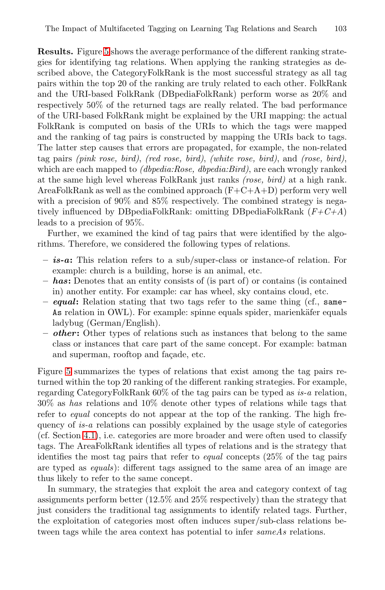The Impact of Multifaceted Tagging on Learning Tag Relations and Search 103

**Results.** Figure 5 shows the average performance of the different ranking strategies for identifying tag relations. When applying the ranking strategies as described above, the CategoryFolkRank is the most successful strategy as all tag pairs within the top 20 of the ranking are truly related to each other. FolkRank and the URI-based FolkRank (DBpediaFolkRank) perform worse as 20% and respectively 50% of the returned tags are really related. The bad performance of the URI-based FolkRank might be explained by the URI mapping: the actual FolkRank is computed on basis of the URIs to which the tags were mapped and the ranking of tag pairs is constructed by mapping the URIs back to tags. The latter step causes that errors are propagated, for example, the non-related tag pairs *(pink rose, bird)*, *(red rose, bird)*, *(white rose, bird)*, and *(rose, bird)*, which are each mapped to *(dbpedia:Rose, dbpedia:Bird)*, are each wrongly ranked at the same high level whereas FolkRank just ranks *(rose, bird)* at a high rank. AreaFolkRank as well as the combined approach  $(F+C+A+D)$  perform very well with a precision of 90% and 85% respectively. The combined strategy is negatively influenced by DBpediaFolkRank: omitting DBpediaFolkRank (*F+C+A*) leads to a precision of 95%.

Further, we examined the kind of tag pairs that were identified by the algorithms. Therefore, we considered the following types of relations.

- **–** *is-a***:** This relation refers to a sub/super-class or instance-of relation. For example: church is a building, horse is an animal, etc.
- **–** *has***:** Denotes that an entity consists of (is part of) or contains (is contained in) another entity. For example: car has wheel, sky contains cloud, etc.
- **–** *equal***:** Relation stating that two tags refer to the same thing (cf., same-As relation in OWL). For example: spinne equals spider, marienkäfer equals ladybug (German/English).
- **–** *other***:** Other types of relations such as instances that belong to the same class or instances that care part of the same concept. For example: batman and superman, rooftop and facade, etc.

Figure 5 summarizes the types of relations that exist among the tag pairs returned within the top 20 ranking of the different ranking strategies. For example, regarding CategoryFolkRank 60% of the tag pairs can be typed as *is-a* relation, 30% as *has* relations and 10% denote other types of relations while tags that refer to *equal* concepts do not appear at the top of the ranking. The high frequency of *is-a* relations can possibly explained by the usage style of categories (cf. Section 4.1), i.e. categories are more broader and were often used to classify tags. The AreaFolkRank identifies all types of relations and is the strategy that identifies the most tag pairs that refer to *equal* concepts (25% of the tag pairs are typed as *equals*): different tags assigned to the same area of an image are thus likely to refer to the same concept.

In summary, the strategies that exploit the area and category context of tag assignments perform better (12.5% and 25% respectively) than the strategy that just considers the traditional tag assignments to identify related tags. Further, the exploitation of categories most often induces super/sub-class relations between tags while the area context has potential to infer *sameAs* relations.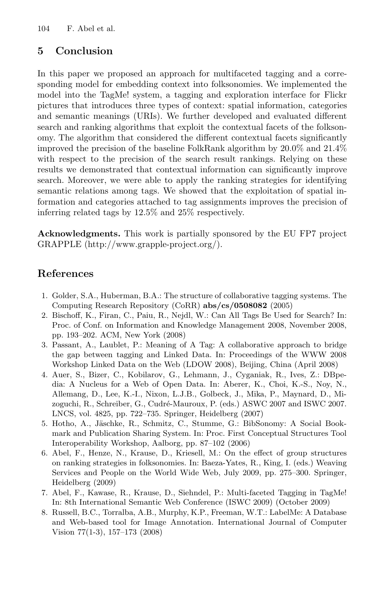# **5 Conclusion**

In this paper we proposed an approach for multifaceted tagging and a corresponding model for embedding context into folksonomies. We implemented the model into the TagMe! system, a tagging and exploration interface for Flickr pictures that introduces three types of context: spatial information, categories and semantic meanings (URIs). We further developed and evaluated different search and ranking algorithms that exploit the contextual facets of the folksonomy. The algorithm that considered the different contextual facets significantly improved the precision of the baseline FolkRank algorithm by 20.0% and 21.4% with respect to the precision of the search result rankings. Relying on these results we demonstrated that contextual information can significantly improve search. Moreover, we were able to apply the ranking strategies for identifying semantic relations among tags. We showed that the exploitation of spatial information and categories attached to tag assignments improves the precision of inferring related tags by 12.5% and 25% respectively.

**Acknowledgments.** This work is partially sponsored by the EU FP7 project GRAPPLE (http://www.grapple-project.org/).

# **References**

- <span id="page-14-0"></span>1. Golder, S.A., Huberman, B.A.: The structure of collaborative tagging systems. The Computing Research Repository (CoRR) **abs/cs/0508082** (2005)
- <span id="page-14-1"></span>2. Bischoff, K., Firan, C., Paiu, R., Nejdl, W.: Can All Tags Be Used for Search? In: Proc. of Conf. on Information and Knowledge Management 2008, November 2008, pp. 193–202. ACM, New York (2008)
- <span id="page-14-2"></span>3. Passant, A., Laublet, P.: Meaning of A Tag: A collaborative approach to bridge the gap between tagging and Linked Data. In: Proceedings of the WWW 2008 Workshop Linked Data on the Web (LDOW 2008), Beijing, China (April 2008)
- <span id="page-14-3"></span>4. Auer, S., Bizer, C., Kobilarov, G., Lehmann, J., Cyganiak, R., Ives, Z.: DBpedia: A Nucleus for a Web of Open Data. In: Aberer, K., Choi, K.-S., Noy, N., Allemang, D., Lee, K.-I., Nixon, L.J.B., Golbeck, J., Mika, P., Maynard, D., Mizoguchi, R., Schreiber, G., Cudré-Mauroux, P. (eds.) ASWC 2007 and ISWC 2007. LNCS, vol. 4825, pp. 722–735. Springer, Heidelberg (2007)
- <span id="page-14-4"></span>5. Hotho, A., Jäschke, R., Schmitz, C., Stumme, G.: BibSonomy: A Social Bookmark and Publication Sharing System. In: Proc. First Conceptual Structures Tool Interoperability Workshop, Aalborg, pp. 87–102 (2006)
- <span id="page-14-5"></span>6. Abel, F., Henze, N., Krause, D., Kriesell, M.: On the effect of group structures on ranking strategies in folksonomies. In: Baeza-Yates, R., King, I. (eds.) Weaving Services and People on the World Wide Web, July 2009, pp. 275–300. Springer, Heidelberg (2009)
- <span id="page-14-6"></span>7. Abel, F., Kawase, R., Krause, D., Siehndel, P.: Multi-faceted Tagging in TagMe! In: 8th International Semantic Web Conference (ISWC 2009) (October 2009)
- <span id="page-14-7"></span>8. Russell, B.C., Torralba, A.B., Murphy, K.P., Freeman, W.T.: LabelMe: A Database and Web-based tool for Image Annotation. International Journal of Computer Vision 77(1-3), 157–173 (2008)